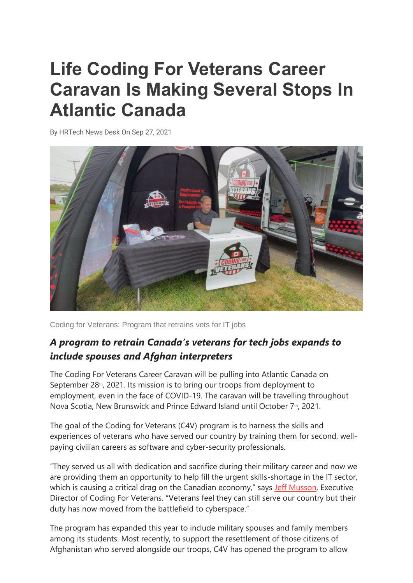## **Life Coding For Veterans Career Caravan Is Making Several Stops In Atlantic Canada**

By [HRTech News Desk](https://techrseries.com/author/techr-news-desk/) On Sep 27, 2021



Coding for Veterans: Program that retrains vets for IT jobs

## *A program to retrain Canada's veterans for tech jobs expands to include spouses and Afghan interpreters*

The Coding For Veterans Career Caravan will be pulling into Atlantic Canada on September 28<sup>th</sup>, 2021. Its mission is to bring our troops from deployment to employment, even in the face of COVID-19. The caravan will be travelling throughout Nova Scotia, New Brunswick and Prince Edward Island until October 7th, 2021.

The goal of the Coding for Veterans (C4V) program is to harness the skills and experiences of veterans who have served our country by training them for second, wellpaying civilian careers as software and cyber-security professionals.

"They served us all with dedication and sacrifice during their military career and now we are providing them an opportunity to help fill the urgent skills-shortage in the IT sector, which is causing a critical drag on the Canadian economy," says [Jeff Musson,](https://www.linkedin.com/in/musson/) Executive Director of Coding For Veterans. "Veterans feel they can still serve our country but their duty has now moved from the battlefield to cyberspace."

The program has expanded this year to include military spouses and family members among its students. Most recently, to support the resettlement of those citizens of Afghanistan who served alongside our troops, C4V has opened the program to allow